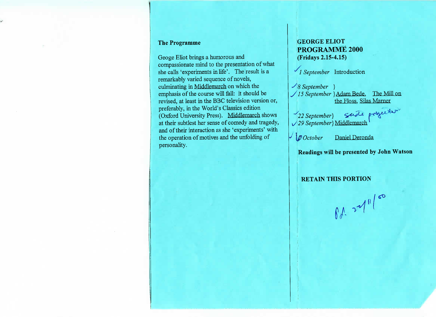#### **The Programme**

Geoge Eliot brings a humorous and compassionate mind to the presentation of whatshe calls 'experiments in life'. The result is aremarkably varied sequence of novels,culminating in Middlemarch on which the emphasis of the course will fall: it should be revised, at least in the BBC television version or,preferably, in the World's Classics editionOxford University Press). Middlemarch shows at their subtlest her sense of comedy and tragedy, and of their interaction as she 'experiments' withthe operation of motives and the unfolding ofpersonality.

## **GEORGE ELIOT PROGRAMME 2000(Fridays 2.15-4.15)**

*1 September* Introduction

*September }* "/ *'15 September* }Adam Bede. The Mill onthe Floss. Silas Marner

*\*\*\*\**<br> */* 29 September} Middlemarch \*\*\*

*October* Daniel Deronda

**Readings will be presented by John Watson**

**RETAIN THIS PORTION**

 $01.24$